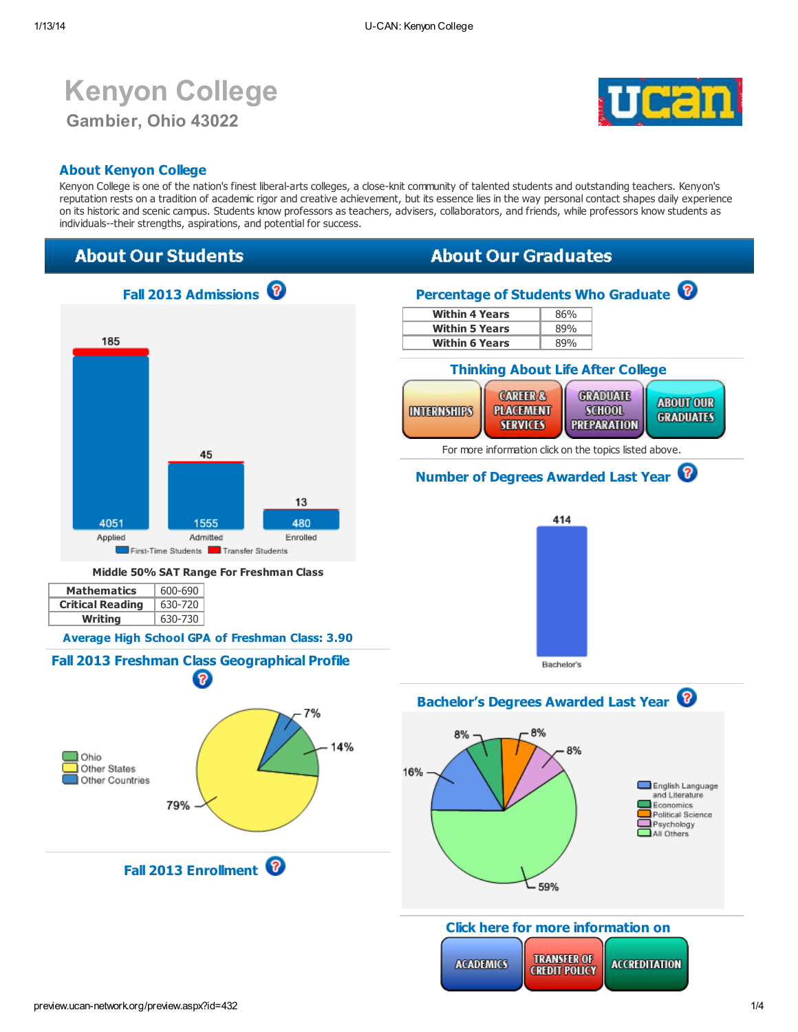# Kenyon College Gambier, Ohio 43022



### About Kenyon College

Kenyon College is one of the nation's finest liberal-arts colleges, a close-knit community of talented students and outstanding teachers. Kenyon's reputation rests on a tradition of academic rigor and creative achievement, but its essence lies in the way personal contact shapes daily experience on its historic and scenic campus. Students know professors as teachers, advisers, collaborators, and friends, while professors know students as individuals--their strengths, aspirations, and potential for success.

### **About Our Students**

## **About Our Graduates**



**TRANSFER OF** 

**CREDIT POLICY** 

**ACCREDITATION** 

**ACADEMICS**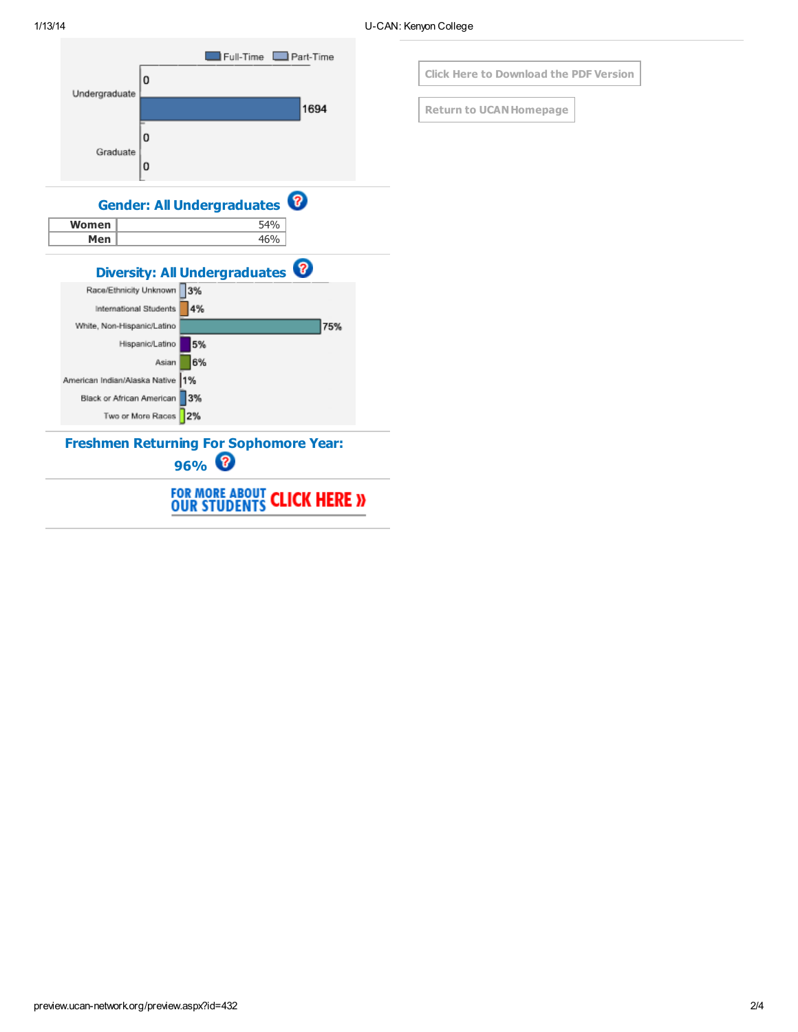



**Return to UCAN Homepage**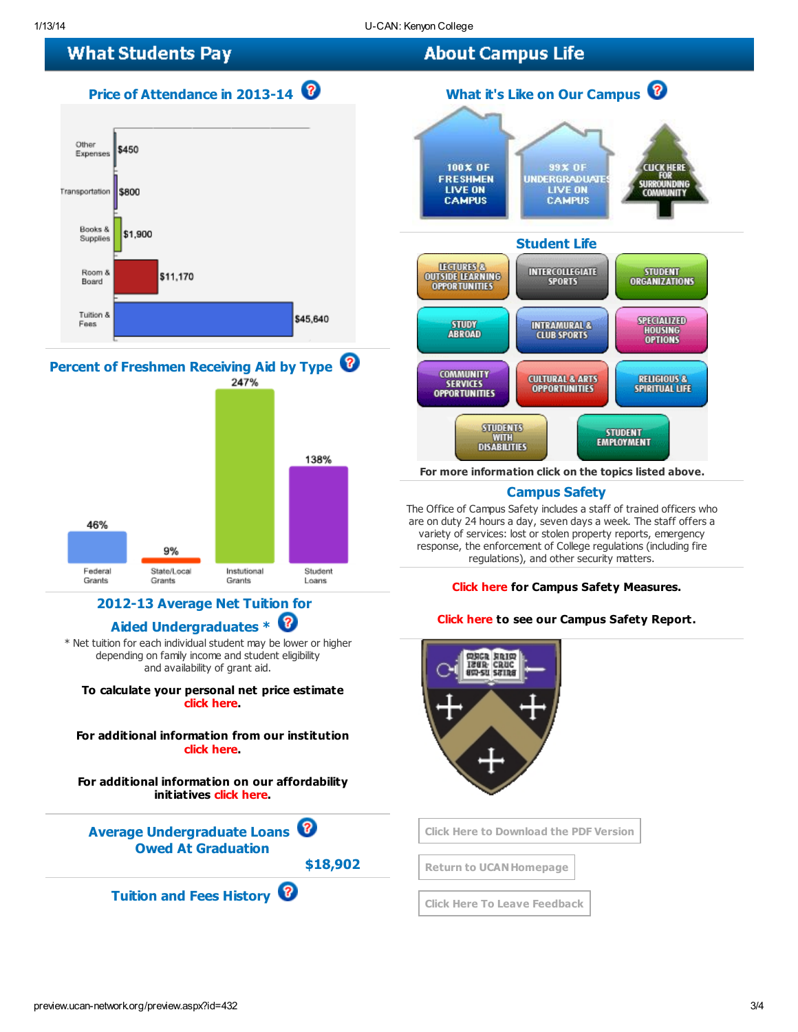## **What Students Pay**

## Price of Attendance in 2013-14





### 2012-13 Average Net Tuition for Aided Undergraduates \* <sup>1</sup>

Instutional

Grants

State/Local

Grants

Federal

Grants

\* Net tuition for each individual student may be lower or higher depending on family income and student eligibility and availability of grant aid.

To calculate your personal net price estimate click [here](http://www.kenyon.edu/admissions-aid/financial-aid/cost-breakdown-by-semester/kenyon-net-price-calculator/).

For additional information from our institution click [here](http://www.kenyon.edu/admissions-aid/financial-aid/).

For additional information on our affordability initiatives click [here.](http://www.kenyon.edu/admissions-aid/financial-aid/)

Average Undergraduate Loans Owed At Graduation

\$18,902

Student

Loans

Tuition and Fees History



For more information click on the topics listed above.

### Campus Safety

The Office of Campus Safety includes a staff of trained officers who are on duty 24 hours a day, seven days a week. The staff offers a variety of services: lost or stolen property reports, emergency response, the enforcement of College regulations (including fire regulations), and other security matters.

#### [Click](http://www.kenyon.edu/directories/offices-services/campus-safety/) here for Campus Safety Measures.

#### Click [here](http://www.kenyon.edu/directories/offices-services/campus-safety/crime-statistics-2/l) to see our Campus Safety Report.



Click Here to [Download](http://preview.ucan-network.org/pdf/u-can-432.pdf?q=113201421512) the PDF Version

**Return to UCAN Homepage** 

Click Here To Leave [Feedback](http://www.surveymonkey.com/s.aspx?sm=dfP0Lg1XMIbL1kLdz3PPuA_3d_3d)